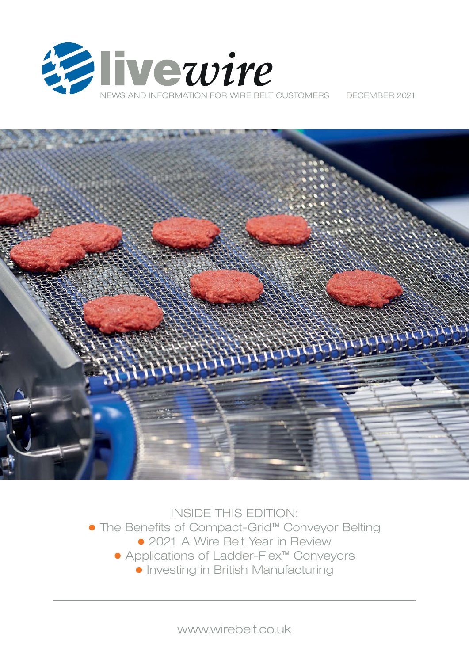



INSIDE THIS EDITION:

• The Benefits of Compact-Grid™ Conveyor Belting

- 2021 A Wire Belt Year in Review
- l Applications of Ladder-Flex™ Conveyors
	- **Investing in British Manufacturing**

www.wirebelt.co.uk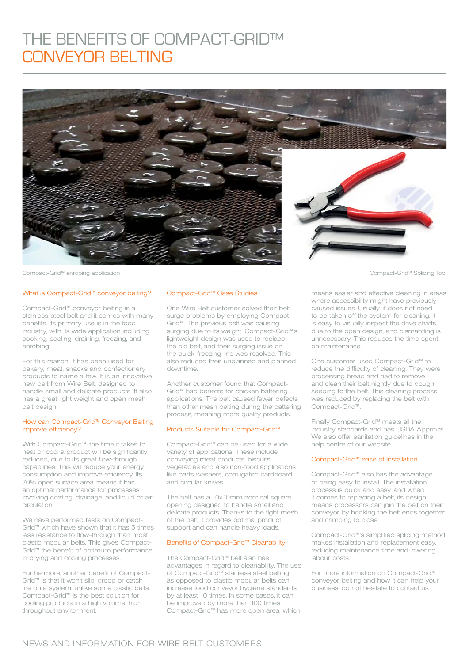# THE BENEFITS OF COMPACT-GRID™ CONVEYOR BELTING



Compact-Grid™ enrobing application Compact-Grid™ Splicing Tool

#### What is Compact-Grid™ conveyor belting?

Compact-Grid™ conveyor belting is a stainless-steel belt and it comes with many benefits. Its primary use is in the food industry, with its wide application including cooking, cooling, draining, freezing, and enrobing.

For this reason, it has been used for bakery, meat, snacks and confectionery products to name a few. It is an innovative new belt from Wire Belt, designed to handle small and delicate products. It also has a great light weight and open mesh belt design.

#### How can Compact-Grid™ Conveyor Belting improve efficiency?

With Compact-Grid™, the time it takes to heat or cool a product will be significantly reduced, due to its great flow-through capabilities. This will reduce your energy consumption and improve efficiency. Its 70% open surface area means it has an optimal performance for processes involving coating, drainage, and liquid or air circulation.

We have performed tests on Compact-Grid™ which have shown that it has 5 times less resistance to flow-through than most plastic modular belts. This gives Compact-Grid™ the benefit of optimum performance in drying and cooling processes.

Furthermore, another benefit of Compact-Grid™ is that it won't slip, droop or catch fire on a system, unlike some plastic belts. Compact-Grid™ is the best solution for cooling products in a high volume, high throughput environment.

#### Compact-Grid™ Case Studies

One Wire Belt customer solved their belt surge problems by employing Compact-Grid™. The previous belt was causing surging due to its weight. Compact-Grid™'s lightweight design was used to replace the old belt, and their surging issue on the quick-freezing line was resolved. This also reduced their unplanned and planned downtime.

Another customer found that Compact-Grid™ had benefits for chicken battering applications. The belt caused fewer defects than other mesh belting during the battering process, meaning more quality products.

#### Products Suitable for Compact-Grid™

Compact-Grid™ can be used for a wide variety of applications. These include conveying meat products, biscuits, vegetables and also non-food applications like parts washers, corrugated cardboard and circular knives.

The belt has a 10x10mm nominal square opening designed to handle small and delicate products. Thanks to the tight mesh of the belt, it provides optimal product support and can handle heavy loads.

#### Benefits of Compact-Grid™ Cleanability

The Compact-Grid™ belt also has advantages in regard to cleanability. The use of Compact-Grid™ stainless steel belting as opposed to plastic modular belts can increase food conveyor hygiene standards by at least 10 times. In some cases, it can be improved by more than 100 times. Compact-Grid™ has more open area, which

means easier and effective cleaning in areas where accessibility might have previously caused issues. Usually, it does not need to be taken off the system for cleaning. It is easy to visually inspect the drive shafts due to the open design, and dismantling is unnecessary. This reduces the time spent on maintenance.

One customer used Compact-Grid™ to reduce the difficulty of cleaning. They were processing bread and had to remove and clean their belt nightly due to dough seeping to the belt. This cleaning process was reduced by replacing the belt with Compact-Grid™.

Finally Compact-Grid™ meets all the industry standards and has USDA Approval. We also offer sanitation guidelines in the help centre of our website.

#### Compact-Grid™ ease of Installation

Compact-Grid™ also has the advantage of being easy to install. The installation process is quick and easy, and when it comes to replacing a belt, its design means processors can join the belt on their conveyor by hooking the belt ends together and crimping to close.

Compact-Grid™'s simplified splicing method makes installation and replacement easy, reducing maintenance time and lowering labour costs.

For more information on Compact-Grid™ conveyor belting and how it can help your business, do not hesitate to contact us.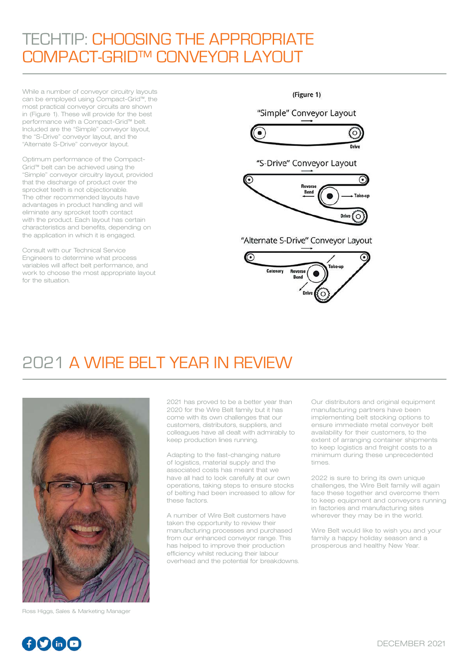# TECHTIP: CHOOSING THE APPROPRIATE COMPACT-GRID™ CONVEYOR LAYOUT

While a number of conveyor circuitry layouts can be employed using Compact-Grid™, the most practical conveyor circuits are shown in (Figure 1). These will provide for the best performance with a Compact-Grid™ belt. Included are the "Simple" conveyor layout, the "S-Drive" conveyor layout, and the "Alternate S-Drive" conveyor layout.

Optimum performance of the Compact-Grid™ belt can be achieved using the "Simple" conveyor circuitry layout, provided that the discharge of product over the sprocket teeth is not objectionable. The other recommended layouts have advantages in product handling and will eliminate any sprocket tooth contact with the product. Each layout has certain characteristics and benefits, depending on the application in which it is engaged.

Consult with our Technical Service Engineers to determine what process variables will affect belt performance, and work to choose the most appropriate layout for the situation.

(Figure 1)

"Simple" Conveyor Layout



"S-Drive" Conveyor Layout



"Alternate S-Drive" Conveyor Layout



# 2021 A WIRE BELT YEAR IN REVIEW



Ross Higgs, Sales & Marketing Manager

2021 has proved to be a better year than 2020 for the Wire Belt family but it has come with its own challenges that our customers, distributors, suppliers, and colleagues have all dealt with admirably to keep production lines running.

Adapting to the fast-changing nature of logistics, material supply and the associated costs has meant that we have all had to look carefully at our own operations, taking steps to ensure stocks of belting had been increased to allow for these factors.

A number of Wire Belt customers have taken the opportunity to review their manufacturing processes and purchased from our enhanced conveyor range. This has helped to improve their production efficiency whilst reducing their labour overhead and the potential for breakdowns. Our distributors and original equipment manufacturing partners have been implementing belt stocking options to ensure immediate metal conveyor belt availability for their customers, to the extent of arranging container shipments to keep logistics and freight costs to a minimum during these unprecedented times.

2022 is sure to bring its own unique challenges, the Wire Belt family will again face these together and overcome them to keep equipment and conveyors running in factories and manufacturing sites wherever they may be in the world.

Wire Belt would like to wish you and your family a happy holiday season and a prosperous and healthy New Year.

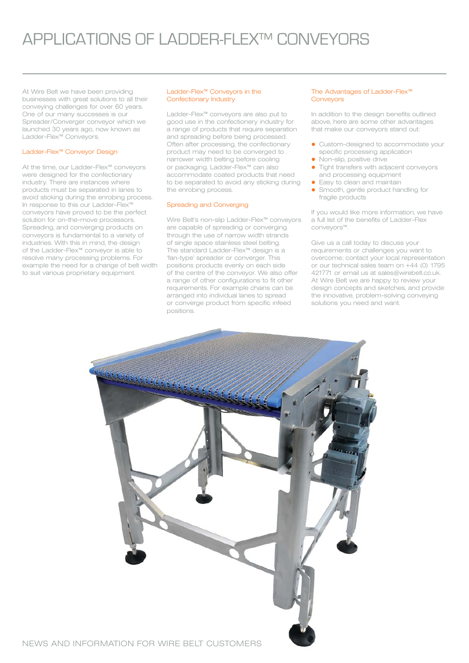At Wire Belt we have been providing businesses with great solutions to all their conveying challenges for over 60 years. One of our many successes is our Spreader/Converger conveyor which we launched 30 years ago, now known as Ladder-Flex™ Conveyors.

#### Ladder-Flex™ Conveyor Design

At the time, our Ladder-Flex™ conveyors were designed for the confectionary industry. There are instances where products must be separated in lanes to avoid sticking during the enrobing process. In response to this our Ladder-Flex™ conveyors have proved to be the perfect solution for on-the-move processors. Spreading, and converging products on conveyors is fundamental to a variety of industries. With this in mind, the design of the Ladder-Flex™ conveyor is able to resolve many processing problems. For example the need for a change of belt width to suit various proprietary equipment.

#### Ladder-Flex™ Conveyors in the Confectionary Industry

Ladder-Flex™ conveyors are also put to good use in the confectionery industry for a range of products that require separation and spreading before being processed. Often after processing, the confectionary product may need to be converged to narrower width belting before cooling or packaging. Ladder-Flex™ can also accommodate coated products that need to be separated to avoid any sticking during the enrobing process.

#### Spreading and Converging

Wire Belt's non-slip Ladder-Flex™ conveyors are capable of spreading or converging through the use of narrow width strands of single space stainless steel belting. The standard Ladder-Flex™ design is a 'fan-type' spreader or converger. This positions products evenly on each side of the centre of the conveyor. We also offer a range of other configurations to fit other requirements. For example chains can be arranged into individual lanes to spread or converge product from specific infeed positions.

#### The Advantages of Ladder-Flex™ **Conveyors**

In addition to the design benefits outlined above, here are some other advantages that make our conveyors stand out:

- Custom-designed to accommodate your specific processing application
- Non-slip, positive drive
- **•** Tight transfers with adjacent conveyors and processing equipment
- Easy to clean and maintain
- **•** Smooth, gentle product handling for fragile products

If you would like more information, we have a full list of the benefits of Ladder-Flex conveyors™.

Give us a call today to discuss your requirements or challenges you want to overcome; contact your local representation or our technical sales team on +44 (0) 1795 421771 or email us at sales@wirebelt.co.uk. At Wire Belt we are happy to review your design concepts and sketches, and provide the innovative, problem-solving conveying solutions you need and want.

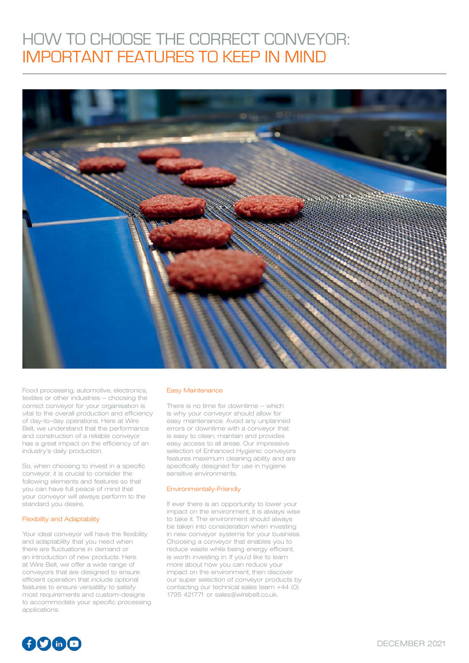# HOW TO CHOOSE THE CORRECT CONVEYOR: IMPORTANT FEATURES TO KEEP IN MIND



Food processing, automotive, electronics, textiles or other industries – choosing the correct conveyor for your organisation is vital to the overall production and efficiency of day-to-day operations. Here at Wire Belt, we understand that the performance and construction of a reliable conveyor has a great impact on the efficiency of an industry's daily production.

So, when choosing to invest in a specific conveyor, it is crucial to consider the following elements and features so that you can have full peace of mind that your conveyor will always perform to the standard you desire.

#### Flexibility and Adaptability

Your ideal conveyor will have the flexibility and adaptability that you need when there are fluctuations in demand or an introduction of new products. Here at Wire Belt, we offer a wide range of conveyors that are designed to ensure efficient operation that include optional features to ensure versatility to satisfy most requirements and custom-designs to accommodate your specific processing applications.

#### Easy Maintenance

There is no time for downtime – which is why your conveyor should allow for easy maintenance. Avoid any unplanned errors or downtime with a conveyor that is easy to clean, maintain and provides easy access to all areas. Our impressive selection of Enhanced Hygienic conveyors features maximum cleaning ability and are specifically designed for use in hygiene sensitive environments.

#### Environmentally-Friendly

If ever there is an opportunity to lower your impact on the environment, it is always wise to take it. The environment should always be taken into consideration when investing in new conveyor systems for your business. Choosing a conveyor that enables you to reduce waste while being energy efficient, is worth investing in. If you'd like to learn more about how you can reduce your impact on the environment, then discover our super selection of conveyor products by contacting our technical sales team +44 (0) 1795 421771 or sales@wirebelt.co.uk.

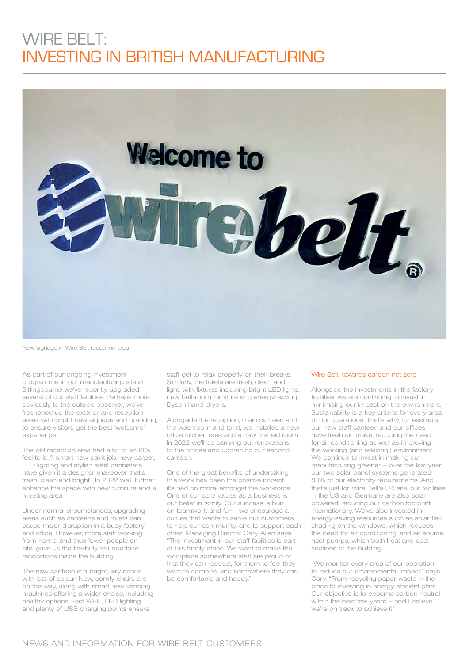# WIRE BELT: INVESTING IN BRITISH MANUFACTURING



New signage in Wire Belt reception area

As part of our ongoing investment programme in our manufacturing site at Sittingbourne we've recently upgraded several of our staff facilities. Perhaps more obviously to the outside observer, we've freshened up the exterior and reception areas with bright new signage and branding, to ensure visitors get the best 'welcome' experience!

The old reception area had a bit of an 80s feel to it. A smart new paint job, new carpet, LED lighting and stylish steel bannisters have given it a designer makeover that's fresh, clean and bright. In 2022 we'll further enhance the space with new furniture and a meeting area.

Under normal circumstances, upgrading areas such as canteens and toilets can cause major disruption in a busy factory and office. However, more staff working from home, and thus fewer people on site, gave us the flexibility to undertake renovations inside the building.

The new canteen is a bright, airy space with lots of colour. New, comfy chairs are on the way, along with smart new vending machines offering a wider choice, including healthy options. Fast Wi-Fi, LED lighting and plenty of USB charging points ensure

staff get to relax properly on their breaks. Similarly, the toilets are fresh, clean and light, with fixtures including bright LED lights, new bathroom furniture and energy-saving Dyson hand dryers.

Alongside the reception, main canteen and the washroom and toilet, we installed a new office kitchen area and a new first aid room. In 2022 we'll be carrying out renovations to the offices and upgrading our second canteen.

One of the great benefits of undertaking this work has been the positive impact it's had on moral amongst the workforce. One of our core values as a business is our belief in family. Our success is built on teamwork and fun - we encourage a culture that wants to serve our customers, to help our community, and to support each other. Managing Director Gary Allen says, "The investment in our staff facilities is part of this family ethos. We want to make the workplace somewhere staff are proud of, that they can respect, for them to feel they want to come to, and somewhere they can be comfortable and happy."

#### Wire Belt: towards carbon net zero

Alongside the investments in the factory facilities, we are continuing to invest in minimising our impact on the environment. Sustainability is a key criteria for every area of our operations. That's why, for example, our new staff canteen and our offices have fresh air intake, reducing the need for air conditioning as well as improving the working (and relaxing!) environment. We continue to invest in making our manufacturing greener – over the last year, our two solar panel systems generated 80% of our electricity requirements. And that's just for Wire Belt's UK site, our facilities in the US and Germany are also solar powered, reducing our carbon footprint internationally. We've also invested in energy-saving resources such as solar flex shading on the windows, which reduces the need for air conditioning, and air source heat pumps, which both heat and cool sections of the building.

"We monitor every area of our operation to reduce our environmental impact," says Gary. "From recycling paper waste in the office to investing in energy efficient plant. Our objective is to become carbon neutral within the next few years – and I believe we're on track to achieve it."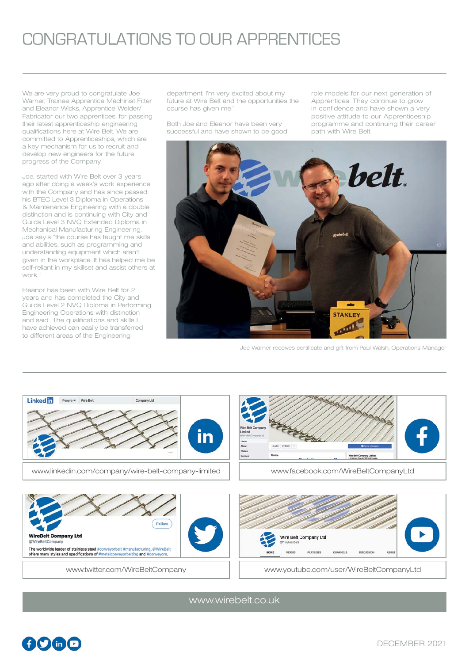# CONGRATULATIONS TO OUR APPRENTICES

We are very proud to congratulate Joe Warner, Trainee Apprentice Machinist Fitter and Eleanor Wicks, Apprentice Welder/ Fabricator our two apprentices, for passing their latest apprenticeship engineering qualifications here at Wire Belt. We are committed to Apprenticeships, which are a key mechanism for us to recruit and develop new engineers for the future progress of the Company.

Joe, started with Wire Belt over 3 years ago after doing a week's work experience with the Company and has since passed his BTEC Level 3 Diploma in Operations & Maintenance Engineering with a double distinction and is continuing with City and Guilds Level 3 NVQ Extended Diploma in Mechanical Manufacturing Engineering, Joe say's "the course has taught me skills and abilities, such as programming and understanding equipment which aren't given in the workplace. It has helped me be self-reliant in my skillset and assist others at work."

Eleanor has been with Wire Belt for 2 years and has completed the City and Guilds Level 2 NVQ Diploma in Performing Engineering Operations with distinction and said "The qualifications and skills I have achieved can easily be transferred to different areas of the Engineering

department. I'm very excited about my future at Wire Belt and the opportunities the course has given me."

Both Joe and Eleanor have been very successful and have shown to be good role models for our next generation of Apprentices. They continue to grow in confidence and have shown a very positive attitude to our Apprenticeship programme and continuing their career path with Wire Belt.



Joe Warner receives certificate and gift from Paul Walsh, Operations Manager







www.wirebelt.co.uk



**WireBelt Company Ltd**